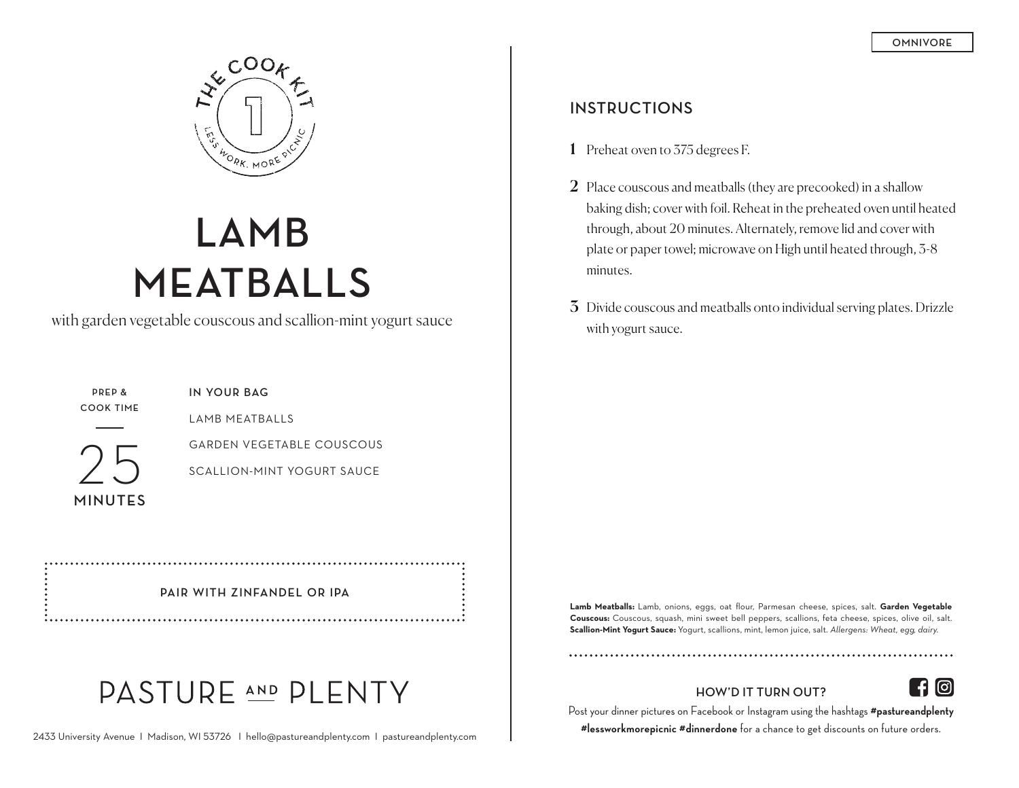

# **LAMB MEATBALLS**

with garden vegetable couscous and scallion-mint yogurt sauce

**PREP & COOK TIME**

25

**MINUTES**

**IN YOUR BAG**

LAMB MEATBALLS

GARDEN VEGETABLE COUSCOUS

SCALLION-MINT YOGURT SAUCE

#### **PAIR WITH ZINFANDEL OR IPA**

## PASTURE AND PLENTY

#### **INSTRUCTIONS**

- 1 Preheat oven to 375 degrees F.
- 2 Place couscous and meatballs (they are precooked) in a shallow baking dish; cover with foil. Reheat in the preheated oven until heated through, about 20 minutes. Alternately, remove lid and cover with plate or paper towel; microwave on High until heated through, 3-8 minutes.
- 3 Divide couscous and meatballs onto individual serving plates. Drizzle with yogurt sauce.

**Lamb Meatballs:** Lamb, onions, eggs, oat flour, Parmesan cheese, spices, salt. **Garden Vegetable Couscous:** Couscous, squash, mini sweet bell peppers, scallions, feta cheese, spices, olive oil, salt. **Scallion-Mint Yogurt Sauce:** Yogurt, scallions, mint, lemon juice, salt. *Allergens: Wheat, egg, dairy.*

#### **HOW'D IT TURN OUT?**

|(၀)|

Post your dinner pictures on Facebook or Instagram using the hashtags **#pastureandplenty #lessworkmorepicnic #dinnerdone** for a chance to get discounts on future orders.